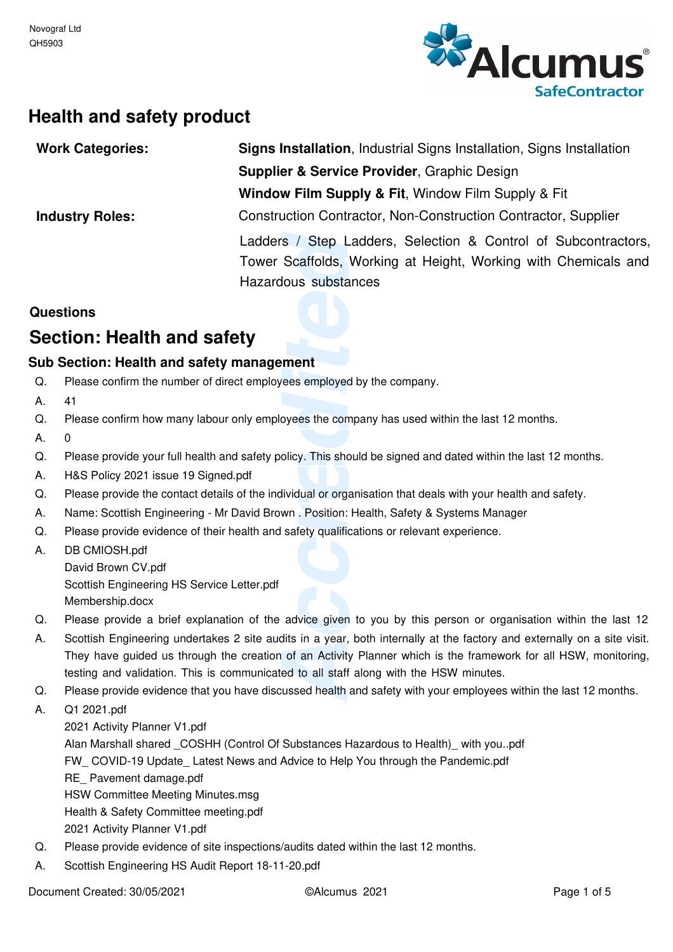

# **Health and safety product**

| <b>Work Categories:</b>                     |                                                                                                                                                                                                                                                                                                                                     | Signs Installation, Industrial Signs Installation, Signs Installation                                            |  |  |  |  |
|---------------------------------------------|-------------------------------------------------------------------------------------------------------------------------------------------------------------------------------------------------------------------------------------------------------------------------------------------------------------------------------------|------------------------------------------------------------------------------------------------------------------|--|--|--|--|
| Supplier & Service Provider, Graphic Design |                                                                                                                                                                                                                                                                                                                                     |                                                                                                                  |  |  |  |  |
|                                             |                                                                                                                                                                                                                                                                                                                                     | Window Film Supply & Fit, Window Film Supply & Fit                                                               |  |  |  |  |
|                                             | <b>Industry Roles:</b>                                                                                                                                                                                                                                                                                                              | Construction Contractor, Non-Construction Contractor, Supplier                                                   |  |  |  |  |
|                                             |                                                                                                                                                                                                                                                                                                                                     | Ladders / Step Ladders, Selection & Control of Subcontractors,                                                   |  |  |  |  |
|                                             |                                                                                                                                                                                                                                                                                                                                     | Tower Scaffolds, Working at Height, Working with Chemicals and                                                   |  |  |  |  |
|                                             |                                                                                                                                                                                                                                                                                                                                     | Hazardous substances                                                                                             |  |  |  |  |
|                                             | Questions                                                                                                                                                                                                                                                                                                                           |                                                                                                                  |  |  |  |  |
|                                             | Section: Health and safety                                                                                                                                                                                                                                                                                                          |                                                                                                                  |  |  |  |  |
|                                             | Sub Section: Health and safety management                                                                                                                                                                                                                                                                                           |                                                                                                                  |  |  |  |  |
| Q.                                          | Please confirm the number of direct employees employed by the company.                                                                                                                                                                                                                                                              |                                                                                                                  |  |  |  |  |
| А.                                          | 41                                                                                                                                                                                                                                                                                                                                  |                                                                                                                  |  |  |  |  |
| Q.                                          | Please confirm how many labour only employees the company has used within the last 12 months.                                                                                                                                                                                                                                       |                                                                                                                  |  |  |  |  |
| А.                                          | 0                                                                                                                                                                                                                                                                                                                                   |                                                                                                                  |  |  |  |  |
| Q.                                          | Please provide your full health and safety policy. This should be signed and dated within the last 12 months.                                                                                                                                                                                                                       |                                                                                                                  |  |  |  |  |
| А.                                          | H&S Policy 2021 issue 19 Signed.pdf                                                                                                                                                                                                                                                                                                 |                                                                                                                  |  |  |  |  |
| Q.                                          | Please provide the contact details of the individual or organisation that deals with your health and safety.                                                                                                                                                                                                                        |                                                                                                                  |  |  |  |  |
| А.                                          | Name: Scottish Engineering - Mr David Brown . Position: Health, Safety & Systems Manager                                                                                                                                                                                                                                            |                                                                                                                  |  |  |  |  |
| Q.                                          | Please provide evidence of their health and safety qualifications or relevant experience.                                                                                                                                                                                                                                           |                                                                                                                  |  |  |  |  |
| А.                                          | DB CMIOSH.pdf                                                                                                                                                                                                                                                                                                                       |                                                                                                                  |  |  |  |  |
|                                             | David Brown CV.pdf                                                                                                                                                                                                                                                                                                                  |                                                                                                                  |  |  |  |  |
|                                             | Scottish Engineering HS Service Letter.pdf                                                                                                                                                                                                                                                                                          |                                                                                                                  |  |  |  |  |
|                                             | Membership.docx                                                                                                                                                                                                                                                                                                                     |                                                                                                                  |  |  |  |  |
| Q.                                          |                                                                                                                                                                                                                                                                                                                                     | Please provide a brief explanation of the advice given to you by this person or organisation within the last 12  |  |  |  |  |
| А.                                          | Scottish Engineering undertakes 2 site audits in a year, both internally at the factory and externally on a site visit.<br>They have guided us through the creation of an Activity Planner which is the framework for all HSW, monitoring,<br>testing and validation. This is communicated to all staff along with the HSW minutes. |                                                                                                                  |  |  |  |  |
| Q.                                          |                                                                                                                                                                                                                                                                                                                                     | Please provide evidence that you have discussed health and safety with your employees within the last 12 months. |  |  |  |  |
|                                             |                                                                                                                                                                                                                                                                                                                                     |                                                                                                                  |  |  |  |  |

## **Questions**

# **Section: Health and safety**

### **Sub Section: Health and safety management**

- Please confirm the number of direct employees employed by the company.  $\Omega$
- 41 A.
- Please confirm how many labour only employees the company has used within the last 12 months. Q.
- $\Omega$ A.
- Please provide your full health and safety policy. This should be signed and dated within the last 12 months. Q.
- H&S Policy 2021 issue 19 Signed.pdf A.
- Please provide the contact details of the individual or organisation that deals with your health and safety.  $Q<sub>r</sub>$
- Name: Scottish Engineering Mr David Brown . Position: Health, Safety & Systems Manager A.
- Please provide evidence of their health and safety qualifications or relevant experience. Q.
- DB CMIOSH.pdf David Brown CV.pdf Scottish Engineering HS Service Letter.pdf Membership.docx A.
- Please provide a brief explanation of the advice given to you by this person or organisation within the last 12 Q.
- Scottish Engineering undertakes 2 site audits in a year, both internally at the factory and externally on a site visit. They have guided us through the creation of an Activity Planner which is the framework for all HSW, monitoring, testing and validation. This is communicated to all staff along with the HSW minutes. A.
- Please provide evidence that you have discussed health and safety with your employees within the last 12 months. Q.

Q1 2021.pdf A.

- 2021 Activity Planner V1.pdf Alan Marshall shared \_COSHH (Control Of Substances Hazardous to Health)\_ with you..pdf FW COVID-19 Update Latest News and Advice to Help You through the Pandemic.pdf RE Pavement damage.pdf HSW Committee Meeting Minutes.msg Health & Safety Committee meeting.pdf 2021 Activity Planner V1.pdf
- Please provide evidence of site inspections/audits dated within the last 12 months. Q.
- Scottish Engineering HS Audit Report 18-11-20.pdf A.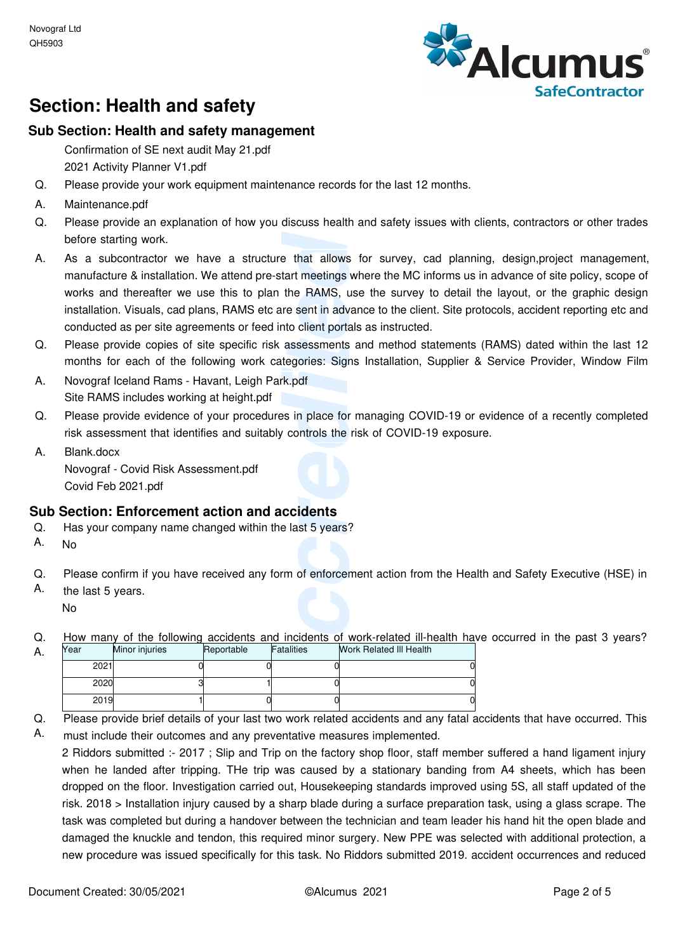

# **Section: Health and safety**

### **Sub Section: Health and safety management**

Confirmation of SE next audit May 21.pdf 2021 Activity Planner V1.pdf

- Please provide your work equipment maintenance records for the last 12 months. Q.
- Maintenance.pdf A.
- Please provide an explanation of how you discuss health and safety issues with clients, contractors or other trades before starting work. Q.
- e that allows for surve<br>tart meetings where the<br>the RAMS, use the su<br>re sent in advance to the<br>atom client portals as instring<br>assessments and meth<br>tegories: Signs Installat<br>k.pdf<br>s.in place for managing<br>controls the risk As a subcontractor we have a structure that allows for survey, cad planning, design,project management, manufacture & installation. We attend pre-start meetings where the MC informs us in advance of site policy, scope of works and thereafter we use this to plan the RAMS, use the survey to detail the layout, or the graphic design installation. Visuals, cad plans, RAMS etc are sent in advance to the client. Site protocols, accident reporting etc and conducted as per site agreements or feed into client portals as instructed. A.
- Please provide copies of site specific risk assessments and method statements (RAMS) dated within the last 12 months for each of the following work categories: Signs Installation, Supplier & Service Provider, Window Film Q.
- Novograf Iceland Rams Havant, Leigh Park.pdf Site RAMS includes working at height.pdf A.
- Please provide evidence of your procedures in place for managing COVID-19 or evidence of a recently completed risk assessment that identifies and suitably controls the risk of COVID-19 exposure. Q.
- Blank.docx Novograf - Covid Risk Assessment.pdf Covid Feb 2021.pdf A.

#### **Sub Section: Enforcement action and accidents**

- Has your company name changed within the last 5 years?  $Q<sub>r</sub>$
- A. No

A.

- Please confirm if you have received any form of enforcement action from the Health and Safety Executive (HSE) in Q.
- the last 5 years. No A.
- How many of the following accidents and incidents of work-related ill-health have occurred in the past 3 years? Q.

| Year | Minor injuries | Reportable | Fatalities | <b>Work Related III Health</b> |  |
|------|----------------|------------|------------|--------------------------------|--|
| 2021 |                |            |            |                                |  |
| 2020 |                |            |            |                                |  |
| 2019 |                |            |            |                                |  |

- Please provide brief details of your last two work related accidents and any fatal accidents that have occurred. This Q.
- must include their outcomes and any preventative measures implemented. A.

2 Riddors submitted :- 2017 ; Slip and Trip on the factory shop floor, staff member suffered a hand ligament injury when he landed after tripping. THe trip was caused by a stationary banding from A4 sheets, which has been dropped on the floor. Investigation carried out, Housekeeping standards improved using 5S, all staff updated of the risk. 2018 > Installation injury caused by a sharp blade during a surface preparation task, using a glass scrape. The task was completed but during a handover between the technician and team leader his hand hit the open blade and damaged the knuckle and tendon, this required minor surgery. New PPE was selected with additional protection, a new procedure was issued specifically for this task. No Riddors submitted 2019. accident occurrences and reduced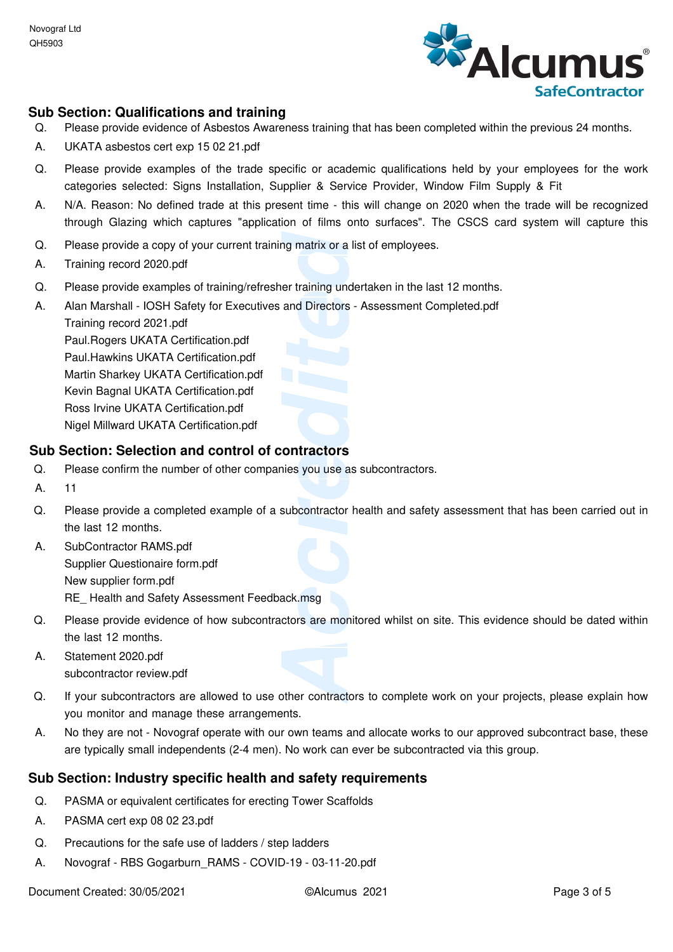

#### **Sub Section: Qualifications and training**

- Please provide evidence of Asbestos Awareness training that has been completed within the previous 24 months. Q.
- A. UKATA asbestos cert exp 15 02 21.pdf
- Please provide examples of the trade specific or academic qualifications held by your employees for the work categories selected: Signs Installation, Supplier & Service Provider, Window Film Supply & Fit  $\Omega$ .
- N/A. Reason: No defined trade at this present time this will change on 2020 when the trade will be recognized through Glazing which captures "application of films onto surfaces". The CSCS card system will capture this A.
- Please provide a copy of your current training matrix or a list of employees. Q.
- A. Training record 2020.pdf
- Please provide examples of training/refresher training undertaken in the last 12 months. Q.
- Alan Marshall IOSH Safety for Executives and Directors Assessment Completed.pdf A.

Training record 2021.pdf Paul.Rogers UKATA Certification.pdf Paul.Hawkins UKATA Certification.pdf Martin Sharkey UKATA Certification.pdf Kevin Bagnal UKATA Certification.pdf Ross Irvine UKATA Certification.pdf Nigel Millward UKATA Certification.pdf

#### **Sub Section: Selection and control of contractors**

- Please confirm the number of other companies you use as subcontractors. Q.
- A. 11
- ng matrix or a list of empertraining undertaken in<br>
and Directors Assessm<br> **Accredited Accredits**<br> **Accredited Accredits**<br>
Accredited Accredits<br>
Accredited<br>
Accredited<br>
Accredits<br>
Accredited<br>
Accredits<br>
Accredited Accred Please provide a completed example of a subcontractor health and safety assessment that has been carried out in the last 12 months. Q.
- SubContractor RAMS.pdf Supplier Questionaire form.pdf New supplier form.pdf RE Health and Safety Assessment Feedback.msg A.
- Please provide evidence of how subcontractors are monitored whilst on site. This evidence should be dated within the last 12 months. Q.
- Statement 2020.pdf subcontractor review.pdf A.
- If your subcontractors are allowed to use other contractors to complete work on your projects, please explain how you monitor and manage these arrangements. Q.
- No they are not Novograf operate with our own teams and allocate works to our approved subcontract base, these are typically small independents (2-4 men). No work can ever be subcontracted via this group. A.

#### **Sub Section: Industry specific health and safety requirements**

- PASMA or equivalent certificates for erecting Tower Scaffolds Q.
- A. PASMA cert exp 08 02 23.pdf
- Precautions for the safe use of ladders / step ladders Q.
- A. Novograf RBS Gogarburn\_RAMS COVID-19 03-11-20.pdf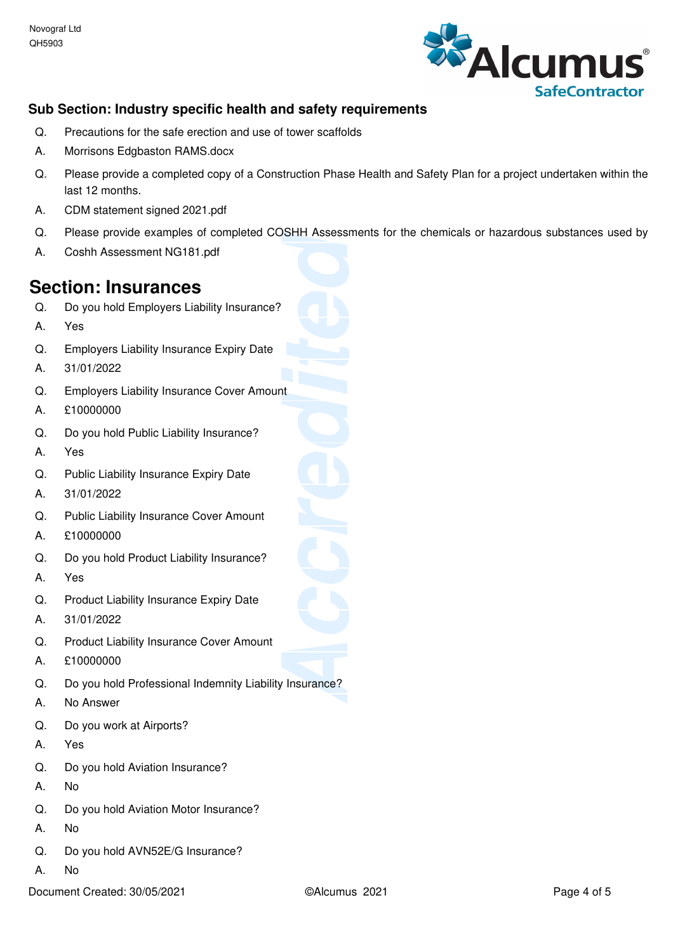

## **Sub Section: Industry specific health and safety requirements**

- Precautions for the safe erection and use of tower scaffolds  $\Omega$ .
- A. Morrisons Edgbaston RAMS.docx
- Please provide a completed copy of a Construction Phase Health and Safety Plan for a project undertaken within the last 12 months. Q.
- A. CDM statement signed 2021.pdf
- Please provide examples of completed COSHH Assessments for the chemicals or hazardous substances used by  $Q<sub>r</sub>$
- A. Coshh Assessment NG181.pdf

# **Section: Insurances**

- Do you hold Employers Liability Insurance? Q.
- A. Yes
- Employers Liability Insurance Expiry Date  $\Omega$ .
- A. 31/01/2022
- Employers Liability Insurance Cover Amount Q.
- A. £10000000
- Do you hold Public Liability Insurance? Q.
- A. Yes
- Public Liability Insurance Expiry Date  $\Omega$ .
- A. 31/01/2022
- Public Liability Insurance Cover Amount  $Q<sub>r</sub>$
- A. £10000000
- Do you hold Product Liability Insurance? Q.
- A. Yes
- Product Liability Insurance Expiry Date Q.
- A. 31/01/2022
- Product Liability Insurance Cover Amount Q.
- A. £10000000
- **ACCREDITE ASSESSMENTS TOT T** Do you hold Professional Indemnity Liability Insurance? Q.
- A. No Answer
- Do you work at Airports? Q.
- A. Yes
- Do you hold Aviation Insurance? Q.
- A. No
- Do you hold Aviation Motor Insurance?  $\Omega$ .
- A. No
- Do you hold AVN52E/G Insurance? Q.
- A. No
- Document Created: 30/05/2021 ©Alcumus 2021 Page 4 of 5